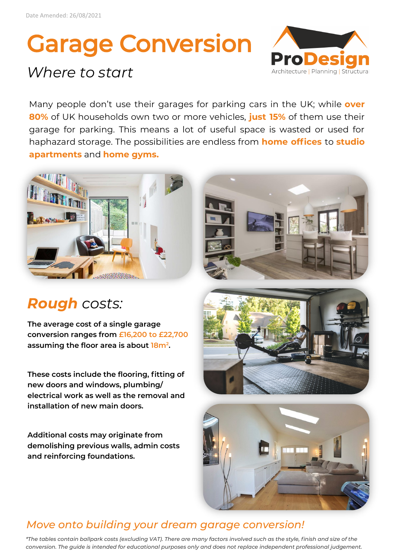# Garage Conversion

## *Where to start*



Many people don't use their garages for parking cars in the UK; while **over 80%** of UK households own two or more vehicles, **just 15%** of them use their garage for parking. This means a lot of useful space is wasted or used for haphazard storage. The possibilities are endless from **home offices** to **studio apartments** and **home gyms.**



## *Rough costs:*

**The average cost of a single garage conversion ranges from £16,200 to £22,700 assuming the floor area is about 18m<sup>2</sup> .**

**These costs include the flooring, fitting of new doors and windows, plumbing/ electrical work as well as the removal and installation of new main doors.** 

**Additional costs may originate from demolishing previous walls, admin costs and reinforcing foundations.** 







#### *Move onto building your dream garage conversion!*

*\*The tables contain ballpark costs (excluding VAT). There are many factors involved such as the style, finish and size of the conversion. The guide is intended for educational purposes only and does not replace independent professional judgement.*